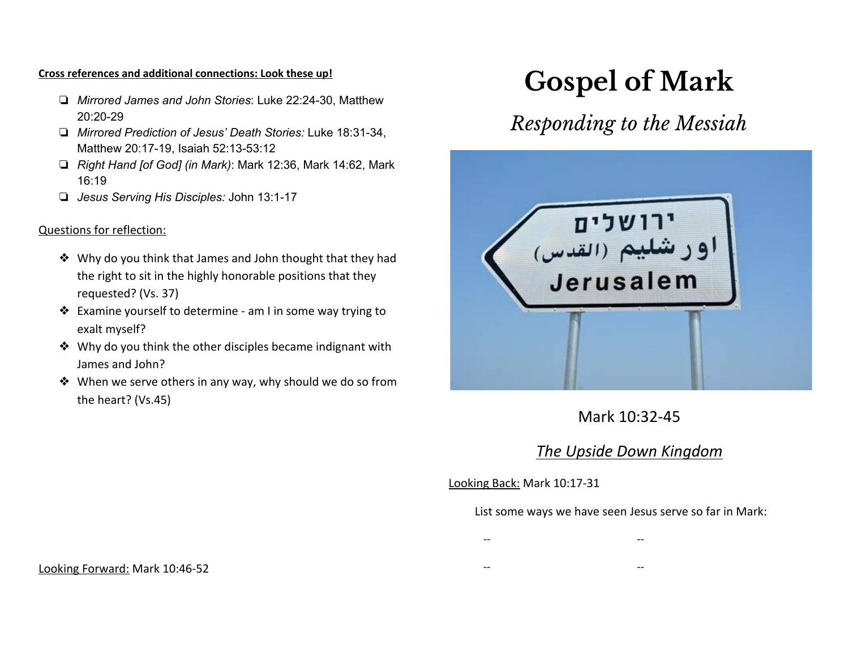#### **Cross references and additional connections: Look these up!**

- ❏ *Mirrored James and John Stories*: Luke 22:24-30, Matthew 20:20-29
- ❏ *Mirrored Prediction of Jesus' Death Stories:* Luke 18:31-34, Matthew 20:17-19, Isaiah 52:13-53:12
- ❏ *Right Hand [of God] (in Mark)*: Mark 12:36, Mark 14:62, Mark 16:19
- ❏ *Jesus Serving His Disciples:* John 13:1-17

#### Questions for reflection:

- ❖ Why do you think that James and John thought that they had the right to sit in the highly honorable positions that they requested? (Vs. 37)
- ❖ Examine yourself to determine am I in some way trying to exalt myself?
- ❖ Why do you think the other disciples became indignant with James and John?
- ❖ When we serve others in any way, why should we do so from the heart? (Vs.45)

# **Gospel of Mark**

# *Responding to the Messiah*



# Mark 10:32-45

# *The Upside Down Kingdom*

Looking Back: Mark 10:17-31

#### List some ways we have seen Jesus serve so far in Mark:

-- --

-- --

Looking Forward: Mark 10:46-52